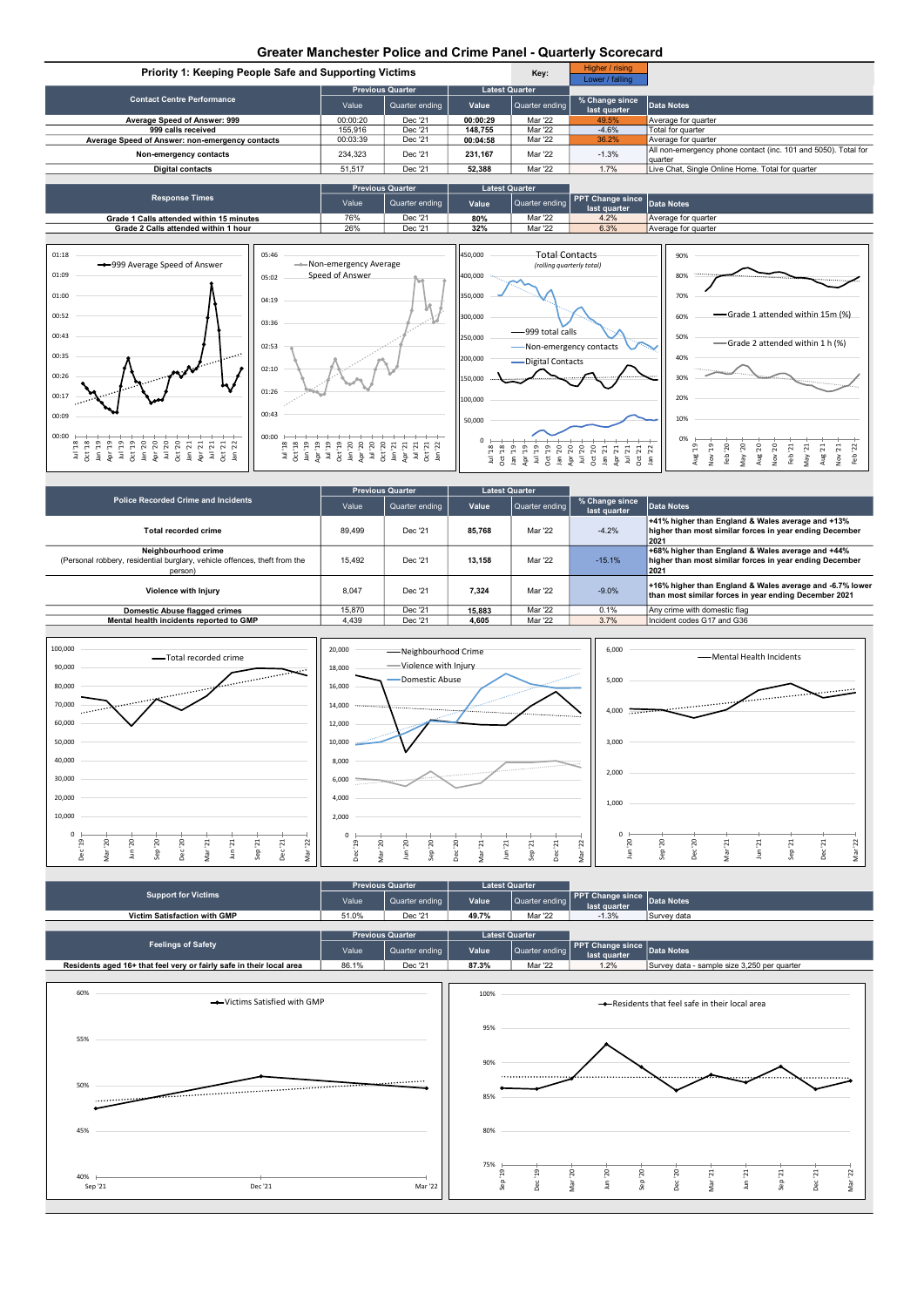## Greater Manchester Police and Crime Panel - Quarterly Scorecard





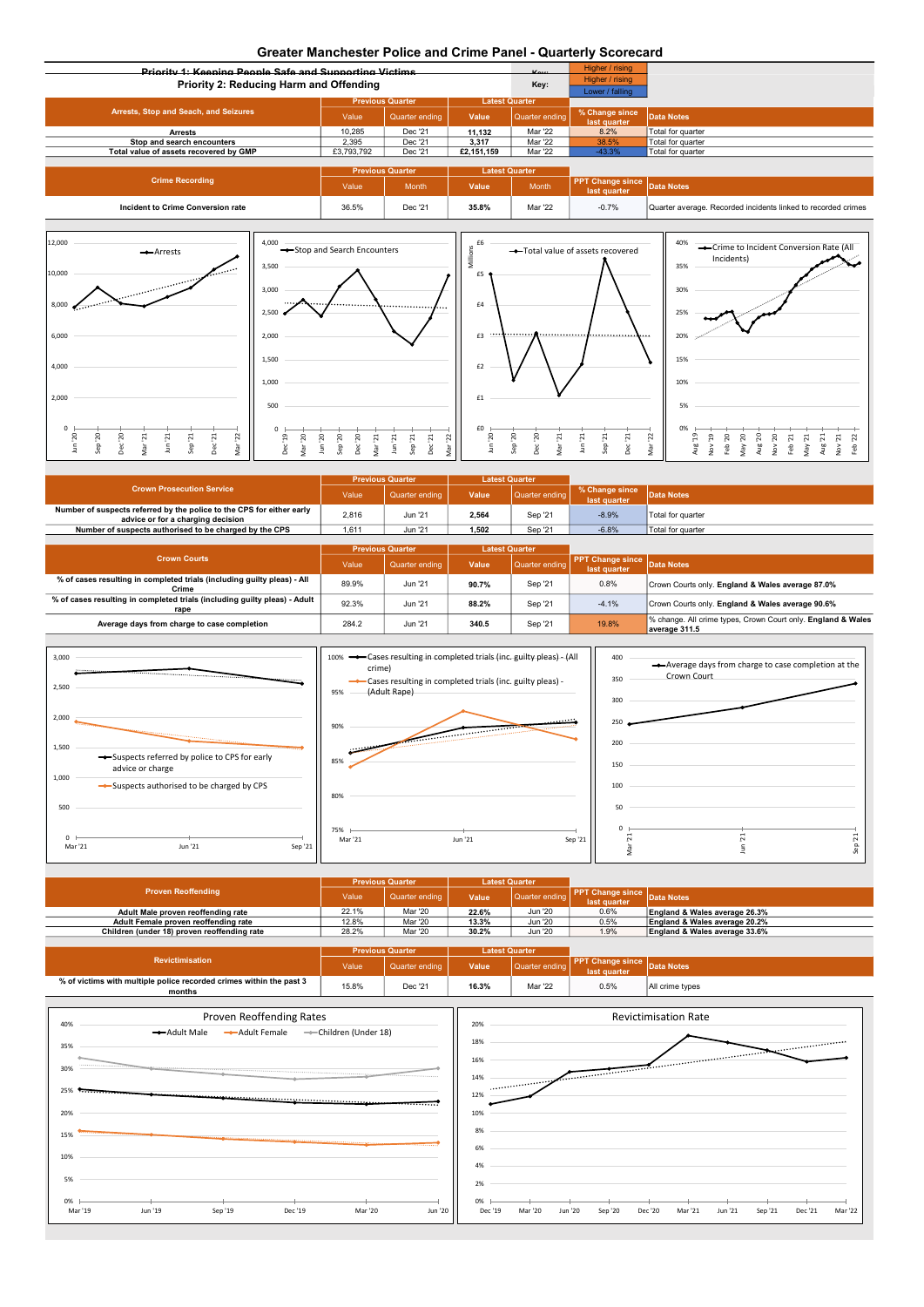## Greater Manchester Police and Crime Panel - Quarterly Scorecard

|                                                                                                                               | Greater Manchester Police and Chine Panel - Quarterly Scorecard                           |                                                                       |                                                                              |                       |                                            |                                                                                                                                                               |  |  |
|-------------------------------------------------------------------------------------------------------------------------------|-------------------------------------------------------------------------------------------|-----------------------------------------------------------------------|------------------------------------------------------------------------------|-----------------------|--------------------------------------------|---------------------------------------------------------------------------------------------------------------------------------------------------------------|--|--|
| <b>Driggity 4: Kooping Doople Cofe and Cupporting Victime</b>                                                                 |                                                                                           |                                                                       |                                                                              |                       | Higher / rising                            |                                                                                                                                                               |  |  |
|                                                                                                                               | Priority 2: Reducing Harm and Offending                                                   |                                                                       |                                                                              | Key:                  | Higher / rising                            |                                                                                                                                                               |  |  |
|                                                                                                                               |                                                                                           |                                                                       |                                                                              |                       | Lower / falling                            |                                                                                                                                                               |  |  |
|                                                                                                                               |                                                                                           | <b>Previous Quarter</b>                                               |                                                                              | <b>Latest Quarter</b> |                                            |                                                                                                                                                               |  |  |
| Arrests, Stop and Seach, and Seizures                                                                                         | Value                                                                                     | Quarter ending                                                        | Value                                                                        | Quarter ending        | % Change since<br>last quarter             | Data Notes                                                                                                                                                    |  |  |
| <b>Arrests</b>                                                                                                                | 10,285                                                                                    | Dec '21                                                               | 11,132                                                                       | Mar '22               | 8.2%                                       | Total for quarter                                                                                                                                             |  |  |
| Stop and search encounters                                                                                                    | 2,395                                                                                     | Dec '21                                                               | 3,317                                                                        | Mar '22               | 38.5%                                      | Total for quarter                                                                                                                                             |  |  |
| Total value of assets recovered by GMP                                                                                        | £3,793,792                                                                                | Dec '21                                                               | £2,151,159                                                                   | Mar '22               | $-43.3%$                                   | Total for quarter                                                                                                                                             |  |  |
|                                                                                                                               |                                                                                           | <b>Previous Quarter</b>                                               | <b>Latest Quarter</b>                                                        |                       |                                            |                                                                                                                                                               |  |  |
| <b>Crime Recording</b>                                                                                                        | Value                                                                                     | Month                                                                 | Value                                                                        | Month                 | <b>PPT</b> Change since<br>last quarter    | Data Notes                                                                                                                                                    |  |  |
| Incident to Crime Conversion rate                                                                                             | 36.5%                                                                                     | Dec '21                                                               | 35.8%                                                                        | Mar '22               | $-0.7%$                                    | Quarter average. Recorded incidents linked to recorded crimes                                                                                                 |  |  |
| $\mathcal{L}_{\text{max}}$ and<br>10,000<br><b>Communication</b><br>8,000                                                     | 3,500<br>3,000<br><br>2,500                                                               |                                                                       | Σ<br>£5<br>£4                                                                |                       |                                            | 35%<br>30%<br>25%                                                                                                                                             |  |  |
| 6,000<br>4,000                                                                                                                | 2,000<br>1,500                                                                            |                                                                       | $\cdots$<br>£3<br>£2                                                         | <br>                  |                                            | 20%<br>15%                                                                                                                                                    |  |  |
| 2,000                                                                                                                         | 1,000<br>500                                                                              |                                                                       | £1                                                                           |                       |                                            | 10%<br>5%                                                                                                                                                     |  |  |
| 20<br>20<br>Dec '20<br>Dec '21<br>Vlar '21<br>Jun <sup>'21</sup><br>ep '21<br>Mar '22<br>$\mathsf{S}% _{T}$<br>$\frac{6}{10}$ | Dec <sup>19</sup><br>$20\,$<br>$20\,$<br>$^{02}$<br>$^{02}$<br>Mar<br>$\mathsf{S}$<br>qe. | $\mathbf{r}_d$<br>$J$ un '21<br>$\mathbf{z}$<br>Dec '21<br>qe.<br>λğι | £0<br>$_{\rm 50}$<br>$^{50}$<br>$\overline{2}$<br>Sep<br>yar<br>$\mathsf{S}$ | Dec '20<br>Mar '21    | Sep $'21$<br>Dec '21<br>Jun <sup>'21</sup> | Mar '22<br>02, AeW<br>Nov'20<br>et, <sup>gn</sup><br>61, AON<br>Feb '20<br>Aug'20<br>Feb <sup>1</sup> 21<br>May'21<br>Aug'21<br>Nov'21<br>Feb <sup>1</sup> 22 |  |  |

|                                                                                                            |       | <b>Previous Quarter</b> |       | <b>Latest Quarter</b> |                                 |                   |
|------------------------------------------------------------------------------------------------------------|-------|-------------------------|-------|-----------------------|---------------------------------|-------------------|
| <b>Crown Prosecution Service</b>                                                                           | Value | Quarter ending          | Value | Quarter ending        | % Change since<br>last quarter. | <b>Data Notes</b> |
| Number of suspects referred by the police to the CPS for either early<br>advice or for a charging decision | 2,816 | Jun '21                 | 2.564 | Sep '21               | $-8.9%$                         | Total for quarter |
| Number of suspects authorised to be charged by the CPS                                                     | 1.611 | Jun '21                 | 1.502 | Sep '21               | $-6.8%$                         | Total for quarter |
|                                                                                                            |       |                         |       |                       |                                 |                   |

|                                                                                   | <b>Previous Quarter</b> |                | <b>Latest Quarter</b> |                |                                         |                                                                               |
|-----------------------------------------------------------------------------------|-------------------------|----------------|-----------------------|----------------|-----------------------------------------|-------------------------------------------------------------------------------|
| <b>Crown Courts</b>                                                               | Value                   | Quarter ending | Value                 | Quarter ending | <b>PPT Change since</b><br>last quarter | <b>Data Notes</b>                                                             |
| % of cases resulting in completed trials (including guilty pleas) - All<br>Crime  | 89.9%                   | Jun '21        | 90.7%                 | Sep '21        | 0.8%                                    | Crown Courts only. England & Wales average 87.0%                              |
| % of cases resulting in completed trials (including guilty pleas) - Adult<br>rape | 92.3%                   | Jun '21        | 88.2%                 | Sep '21        | $-4.1%$                                 | Crown Courts only. England & Wales average 90.6%                              |
| Average days from charge to case completion                                       | 284.2                   | Jun '21        | 340.5                 | Sep '21        | 19.8%                                   | % change. All crime types, Crown Court only. England & Wales<br>average 311.5 |







|                                             |       | <b>Previous Quarter</b> | <b>Latest Quarter</b> |                |              |                                    |
|---------------------------------------------|-------|-------------------------|-----------------------|----------------|--------------|------------------------------------|
| <b>Proven Reoffending</b>                   | Value | Quarter ending          | Value                 | Quarter ending | last quarter | <b>PPT Change since</b> Data Notes |
| Adult Male proven reoffending rate          | 22.1% | Mar '20                 | 22.6%                 | Jun '20        | 0.6%         | England & Wales average 26.3%      |
| Adult Female proven reoffending rate        | 12.8% | Mar '20                 | 13.3%                 | Jun '20        | 0.5%         | England & Wales average 20.2%      |
| Children (under 18) proven reoffending rate | 28.2% | Mar '20                 | 30.2%                 | Jun '20        | 1.9%         | England & Wales average 33.6%      |
|                                             |       |                         |                       |                |              |                                    |

|                                                                               |       | <b>Previous Quarter</b> |       | <b>Latest Quarter</b> |                                     |                   |
|-------------------------------------------------------------------------------|-------|-------------------------|-------|-----------------------|-------------------------------------|-------------------|
| <b>Revictimisation</b>                                                        | Value | Quarter ending.         | Value | Quarter en            | <b>Change since</b><br>last quarter | <b>Data Notes</b> |
| % of victims with multiple police recorded crimes within the past 3<br>months | 15.8% | Dec '21                 | 16.3% | Mar '22               | 0.5%                                | All crime types   |